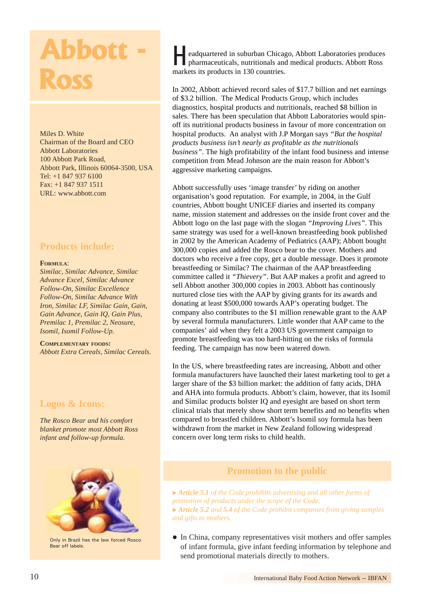# **Ross**

Miles D. White Chairman of the Board and CEO Abbott Laboratories 100 Abbott Park Road, Abbott Park, Illinois 60064-3500, USA Tel: +1 847 937 6100 Fax: +1 847 937 1511 URL: www.abbott.com

# **Products include:**

#### **FORMULA**:

*Similac, Similac Advance, Similac Advance Excel, Similac Advance Follow-On, Similac Excellence Follow-On, Similac Advance With Iron, Similac LF, Similac Gain, Gain, Gain Advance, Gain IQ, Gain Plus, Premilac 1, Premilac 2, Neosure, Isomil, Isomil Follow-Up.*

**COMPLEMENTARY FOODS:** *Abbott Extra Cereals, Similac Cereals.*

# **Logos & Icons:**

*The Rosco Bear and his comfort blanket promote most Abbott Ross infant and follow-up formula.*



Only in Brazil has the law forced Rosco Bear off labels.

**example 2000 COLORECTION** eadquartered in suburban Chicago, Abbott Laboratories produces pharmaceuticals, nutritionals and medical products. Abbott Ross **H** eadquartered in suburban Chicas<br>pharmaceuticals, nutritionals and<br>markets its products in 130 countries.

> In 2002, Abbott achieved record sales of \$17.7 billion and net earnings of \$3.2 billion. The Medical Products Group, which includes diagnostics, hospital products and nutritionals, reached \$8 billion in sales. There has been speculation that Abbott Laboratories would spinoff its nutritional products business in favour of more concentration on hospital products. An analyst with J.P Morgan says *"But the hospital products business isn't nearly as profitable as the nutritionals business"*. The high profitability of the infant food business and intense competition from Mead Johnson are the main reason for Abbott's aggressive marketing campaigns.

> Abbott successfully uses 'image transfer' by riding on another organisation's good reputation. For example, in 2004, in the Gulf countries, Abbott bought UNICEF diaries and inserted its company name, mission statement and addresses on the inside front cover and the Abbott logo on the last page with the slogan *"Improving Lives"*. This same strategy was used for a well-known breastfeeding book published in 2002 by the American Academy of Pediatrics (AAP); Abbott bought 300,000 copies and added the Rosco bear to the cover. Mothers and doctors who receive a free copy, get a double message. Does it promote breastfeeding or Similac? The chairman of the AAP breastfeeding committee called it *"Thievery"*. But AAP makes a profit and agreed to sell Abbott another 300,000 copies in 2003. Abbott has continously nurtured close ties with the AAP by giving grants for its awards and donating at least \$500,000 towards AAP's operating budget. The company also contributes to the \$1 million renewable grant to the AAP by several formula manufacturers. Little wonder that AAP came to the companies' aid when they felt a 2003 US government campaign to promote breastfeeding was too hard-hitting on the risks of formula feeding. The campaign has now been watered down.

> In the US, where breastfeeding rates are increasing, Abbott and other formula manufacturers have launched their latest marketing tool to get a larger share of the \$3 billion market: the addition of fatty acids, DHA and AHA into formula products. Abbott's claim, however, that its Isomil and Similac products bolster IQ and eyesight are based on short term clinical trials that merely show short term benefits and no benefits when compared to breastfed children. Abbott's Isomil soy formula has been withdrawn from the market in New Zealand following widespread concern over long term risks to child health.

# **Promotion to the public**

▶ **Article 5.1** of the Code prohibits advertising and all other forms of *promotion of products under the scope of the Code.* ▶ **Article 5.2** and **5.4** of the Code prohibit companies from giving samples *and gifts to mothers.*

 $\bullet$  In China, company representatives visit mothers and offer samples of infant formula, give infant feeding information by telephone and send promotional materials directly to mothers.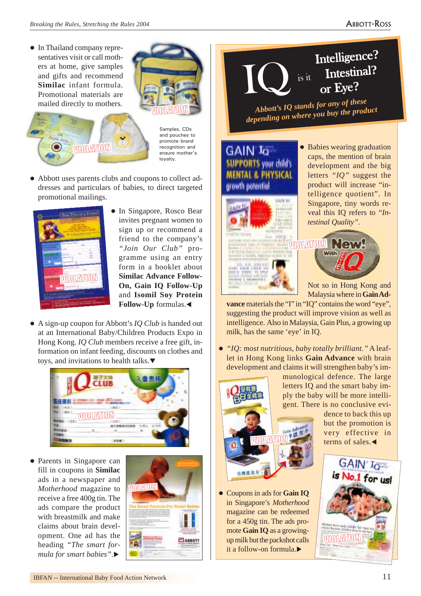• In Thailand company representatives visit or call mothers at home, give samples and gifts and recommend **Similac** infant formula. Promotional materials are mailed directly to mothers.

WOLENDON



Samples, CDs and pouches to promote brand .<br>recognition and ensure mother's loyalty.

• Abbott uses parents clubs and coupons to collect addresses and particulars of babies, to direct targeted promotional mailings.



- In Singapore, Rosco Bear invites pregnant women to sign up or recommend a friend to the company's *"Join Our Club"* programme using an entry form in a booklet about **Similac Advance Follow-On, Gain IQ Follow-Up** and **Isomil Soy Protein Follow-Up** formulas.W
- A sign-up coupon for Abbott's *IO Club* is handed out at an International Baby/Children Products Expo in Hong Kong. *IQ Club* members receive a free gift, information on infant feeding, discounts on clothes and toys, and invitations to health talks. $\blacktriangledown$



• Parents in Singapore can fill in coupons in **Similac** ads in a newspaper and *Motherhood* magazine to receive a free 400g tin. The ads compare the product with breastmilk and make claims about brain development. One ad has the heading *"The smart formula for smart babies*".



Intelligence? or Eye**?** Intestinal? is it

*Abbott's IQ stands for any of these depending on where you buy the product*

# **GAIN Io SUPPORTS your child's MENTAL & PHYSICAL**



• Babies wearing graduation caps, the mention of brain development and the big letters *"IQ"* suggest the product will increase "intelligence quotient". In Singapore, tiny words reveal this IQ refers to *"Intestinal Quality"*.

Not so in Hong Kong and Malaysia where in **Gain Ad-**

New

vance materials the "I" in "IQ" contains the word "eye", suggesting the product will improve vision as well as intelligence. Also in Malaysia, Gain Plus, a growing up milk, has the same 'eye' in IQ.

z *"IQ: most nutritious, baby totally brilliant."* A leaflet in Hong Kong links **Gain Advance** with brain development and claims it will strengthen baby's im-



**c** Coupons in ads for **Gain IQ** in Singapore's *Motherhood* magazine can be redeemed for a 450g tin. The ads promote **Gain IQ** as a growingup milk but the packshot calls it a follow-on formula. $\blacktriangleright$ 

munological defence. The large letters IQ and the smart baby imply the baby will be more intelligent. There is no conclusive evi-

dence to back this up but the promotion is very effective in terms of sales. $\blacktriangleleft$ 

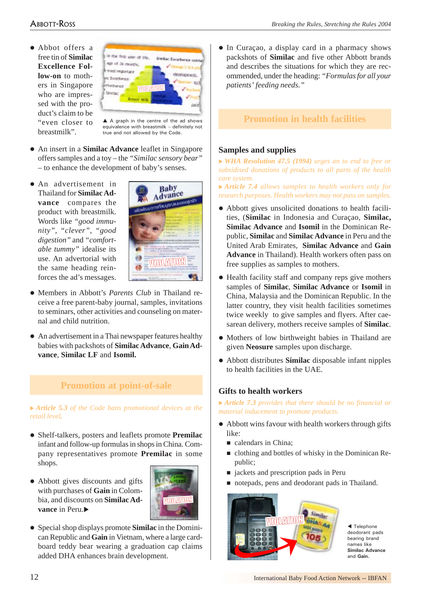# ABBOTT-ROSS

• Abbot offers a free tin of **Similac Excellence Follow-on** to mothers in Singapore who are impressed with the product's claim to be "even closer to breastmilk".



 $\triangle$  A graph in the centre of the ad shows equivalence with breastmilk – definitely not true and not allowed by the Code.

- An insert in a **Similac Advance** leaflet in Singapore offers samples and a toy – the *"Similac sensory bear"* – to enhance the development of baby's senses.
- An advertisement in Thailand for **Similac Advance** compares the product with breastmilk. Words like *"good immunity", "clever", "good digestion"* and *"comfortable tummy"* idealise its use. An advertorial with the same heading reinforces the ad's messages.



- Members in Abbott's *Parents Club* in Thailand receive a free parent-baby journal, samples, invitations to seminars, other activities and counseling on maternal and child nutrition.
- An advertisement in a Thai newspaper features healthy babies with packshots of **Similac Advance**, **Gain Advance**, **Similac LF** and **Isomil.**

# **Promotion at point-of-sale**

▶ Article 5.3 of the Code bans promotional devices at the *retail level.*

- z Shelf-talkers, posters and leaflets promote **Premilac** infant and follow-up formulas in shops in China. Company representatives promote **Premilac** in some shops.
- Abbott gives discounts and gifts with purchases of **Gain** in Colombia, and discounts on **Similac Advance** in Peru



• Special shop displays promote **Similac** in the Dominican Republic and **Gain** in Vietnam, where a large cardboard teddy bear wearing a graduation cap claims added DHA enhances brain development.

• In Curaçao, a display card in a pharmacy shows packshots of **Similac** and five other Abbott brands and describes the situations for which they are recommended, under the heading: *"Formulas for all your patients' feeding needs."*

# **Promotion in health facilities**

#### **Samples and supplies**

<sup>X</sup> *WHA Resolution 47.5 (1994) urges an to end to free or subsidised donations of products to all parts of the health care system.*

▶ Article 7.4 allows samples to health workers only for *research purposes. Health workers may not pass on samples.*

- Abbott gives unsolicited donations to health facilities, (**Similac** in Indonesia and Curaçao, **Similac, Similac Advance** and **Isomil** in the Dominican Republic, **Similac** and **Similac Advance** in Peru and the United Arab Emirates, **Similac Advance** and **Gain Advance** in Thailand). Health workers often pass on free supplies as samples to mothers.
- $\bullet$  Health facility staff and company reps give mothers samples of **Similac**, **Similac Advance** or **Isomil** in China, Malaysia and the Dominican Republic. In the latter country, they visit health facilities sometimes twice weekly to give samples and flyers. After caesarean delivery, mothers receive samples of **Similac**.
- Mothers of low birthweight babies in Thailand are given **Neosure** samples upon discharge.
- z Abbott distributes **Similac** disposable infant nipples to health facilities in the UAE.

#### **Gifts to health workers**

▶ **Article 7.3** provides that there should be no financial or *material inducement to promote products.*

- Abbott wins favour with health workers through gifts like:
	- calendars in China;
	- clothing and bottles of whisky in the Dominican Republic;
	- jackets and prescription pads in Peru
	- notepads, pens and deodorant pads in Thailand.



 $\blacktriangleleft$  Telephone deodorant pads bearing brand names like **Similac Advance** and **Gain.**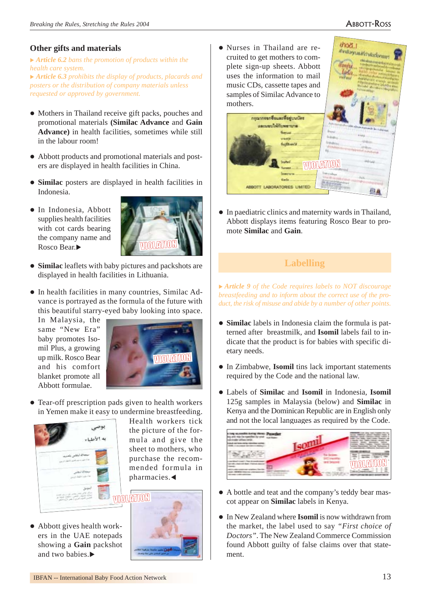stvalupunitirinischemm

thort.

#### **Other gifts and materials**

▶ Article 6.2 bans the promotion of products within the *health care system.*

<sup>X</sup> *Article 6.3 prohibits the display of products, placards and posters or the distribution of company materials unless requested or approved by government.*

- Mothers in Thailand receive gift packs, pouches and promotional materials **(Similac Advance** and **Gain Advance)** in health facilities, sometimes while still in the labour room!
- Abbott products and promotional materials and posters are displayed in health facilities in China.
- Similac posters are displayed in health facilities in Indonesia.
- In Indonesia, Abbott supplies health facilities with cot cards bearing the company name and Rosco Bear.



- Similac leaflets with baby pictures and packshots are displayed in health facilities in Lithuania.
- $\bullet$  In health facilities in many countries, Similac Advance is portrayed as the formula of the future with this beautiful starry-eyed baby looking into space.

In Malaysia, the same "New Era" baby promotes Isomil Plus, a growing up milk. Rosco Bear and his comfort blanket promote all Abbott formulae.



• Tear-off prescription pads given to health workers in Yemen make it easy to undermine breastfeeding.



Health workers tick the picture of the formula and give the sheet to mothers, who purchase the recommended formula in  $pharmacies.$ 

 $\bullet$  Abbott gives health workers in the UAE notepads showing a **Gain** packshot and two babies. $\blacktriangleright$ 



• Nurses in Thailand are recruited to get mothers to complete sign-up sheets. Abbott uses the information to mail music CDs, cassette tapes and samples of Similac Advance to mothers.



• In paediatric clinics and maternity wards in Thailand, Abbott displays items featuring Rosco Bear to promote **Similac** and **Gain**.

# **Labelling**

<sup>X</sup> *Article 9 of the Code requires labels to NOT discourage breastfeeding and to inform about the correct use of the product, the risk of misuse and abide by a number of other points.*

- **Similac** labels in Indonesia claim the formula is patterned after breastmilk, and **Isomil** labels fail to indicate that the product is for babies with specific dietary needs.
- In Zimbabwe, **Isomil** tins lack important statements required by the Code and the national law.
- z Labels of **Similac** and **Isomil** in Indonesia, **Isomil** 125g samples in Malaysia (below) and **Similac** in Kenya and the Dominican Republic are in English only and not the local languages as required by the Code.



- A bottle and teat and the company's teddy bear mascot appear on **Similac** labels in Kenya.
- In New Zealand where **Isomil** is now withdrawn from the market, the label used to say *"First choice of Doctors"*. The New Zealand Commerce Commission found Abbott guilty of false claims over that statement.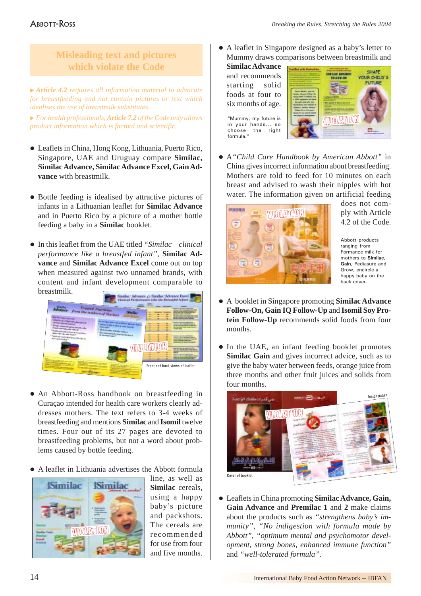# **Misleading text and pictures which violate the Code**

<sup>X</sup> *Article 4.2 requires all information material to advocate for breastfeeding and not contain pictures or text which idealises the use of breastmilk substitutes.*

<sup>X</sup> *For health professionals, Article 7.2 of the Code only allows product information which is factual and scientific.*

- Leaflets in China, Hong Kong, Lithuania, Puerto Rico, Singapore, UAE and Uruguay compare **Similac, Similac Advance, Similac Advance Excel, Gain Advance** with breastmilk.
- $\bullet$  Bottle feeding is idealised by attractive pictures of infants in a Lithuanian leaflet for **Similac Advance** and in Puerto Rico by a picture of a mother bottle feeding a baby in a **Similac** booklet.
- In this leaflet from the UAE titled *"Similac clinical performance like a breastfed infant",* **Similac Advance** and **Similac Advance Excel** come out on top when measured against two unnamed brands, with content and infant development comparable to breastmilk.



- An Abbott-Ross handbook on breastfeeding in Curaçao intended for health care workers clearly addresses mothers. The text refers to 3-4 weeks of breastfeeding and mentions **Similac** and **Isomil** twelve times. Four out of its 27 pages are devoted to breastfeeding problems, but not a word about problems caused by bottle feeding.
- A leaflet in Lithuania advertises the Abbott formula



line, as well as **Similac** cereals, using a happy baby's picture and packshots. The cereals are recommended for use from four and five months.

• A leaflet in Singapore designed as a baby's letter to Mummy draws comparisons between breastmilk and

**Similac Advance** and recommends starting solid foods at four to six months of age.

"Mummy, my future is in your hands... so choose the right formula."



z A*"Child Care Handbook by American Abbott"* in China gives incorrect information about breastfeeding. Mothers are told to feed for 10 minutes on each breast and advised to wash their nipples with hot water. The information given on artificial feeding



does not comply with Article 4.2 of the Code.

Abbott products ranging from Formance milk for mothers to **Similac**, **Gain**, Pediasure and Grow, encircle a happy baby on the back cover.

- z A booklet in Singapore promoting **Similac Advance Follow-On, Gain IQ Follow-Up** and **Isomil Soy Protein Follow-Up** recommends solid foods from four months.
- In the UAE, an infant feeding booklet promotes **Similac Gain** and gives incorrect advice, such as to give the baby water between feeds, orange juice from three months and other fruit juices and solids from four months.



z Leaflets in China promoting **Similac Advance, Gain, Gain Advance** and **Premilac 1** and **2** make claims about the products such as *"strengthens baby's immunity"*, *"No indigestion with formula made by Abbott", "optimum mental and psychomotor development, strong bones, enhanced immune function"* and *"well-tolerated formula".*